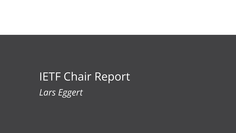# IETF Chair Report Lars Eggert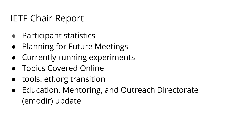# IETF Chair Report

- Participant statistics
- Planning for Future Meetings
- Currently running experiments
- Topics Covered Online
- tools.ietf.org transition
- Education, Mentoring, and Outreach Directorate (emodir) update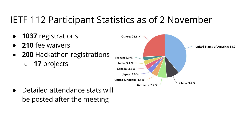## IETF 112 Participant Statistics as of 2 November

- 1037 registrations
- **210** fee waivers
- **200 Hackathon registrations** ○ 17 projects



Detailed attendance stats will be posted after the meeting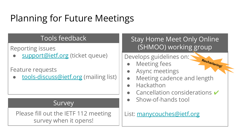# Planning for Future Meetings

#### Tools feedback

Reporting issues

[support@ietf.org](mailto:support@ietf.org) (ticket queue)

Feature requests

[tools-discuss@ietf.org](mailto:tools-discuss@ietf.org) (mailing list)

#### Survey

Please fill out the IETF 112 meeting survey when it opens!

Stay Home Meet Only Online (SHMOO) working group

Rechartering!

Develops guidelines on:

- **Meeting fees**
- Async meetings
- Meeting cadence and length
- Hackathon
- Cancellation considerations  $\checkmark$
- Show-of-hands tool

List: [manycouches@ietf.org](mailto:manycouches@ietf.org)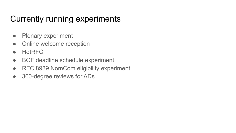### Currently running experiments

- Plenary experiment
- Online welcome reception
- HotRFC
- BOF deadline schedule experiment
- RFC 8989 NomCom eligibility experiment
- 360-degree reviews for ADs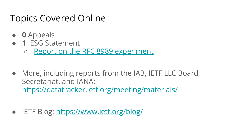### Topics Covered Online

- 0 Appeals
- 1 IFSG Statement
	- o [Report on the RFC 8989 experiment](https://www.ietf.org/about/groups/iesg/statements/report-on-rfc8989-experiment/)
- More, including reports from the IAB, IETF LLC Board, Secretariat, and IANA: <https://datatracker.ietf.org/meeting/materials/>
- IETF Blog:<https://www.ietf.org/blog/>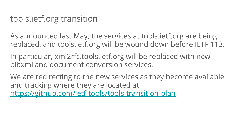### tools.ietf.org transition

As announced last May, the services at tools.ietf.org are being replaced, and tools.ietf.org will be wound down before IETF 113.

In particular, xml2rfc.tools.ietf.org will be replaced with new bibxml and document conversion services.

We are redirecting to the new services as they become available and tracking where they are located at <https://github.com/ietf-tools/tools-transition-plan>